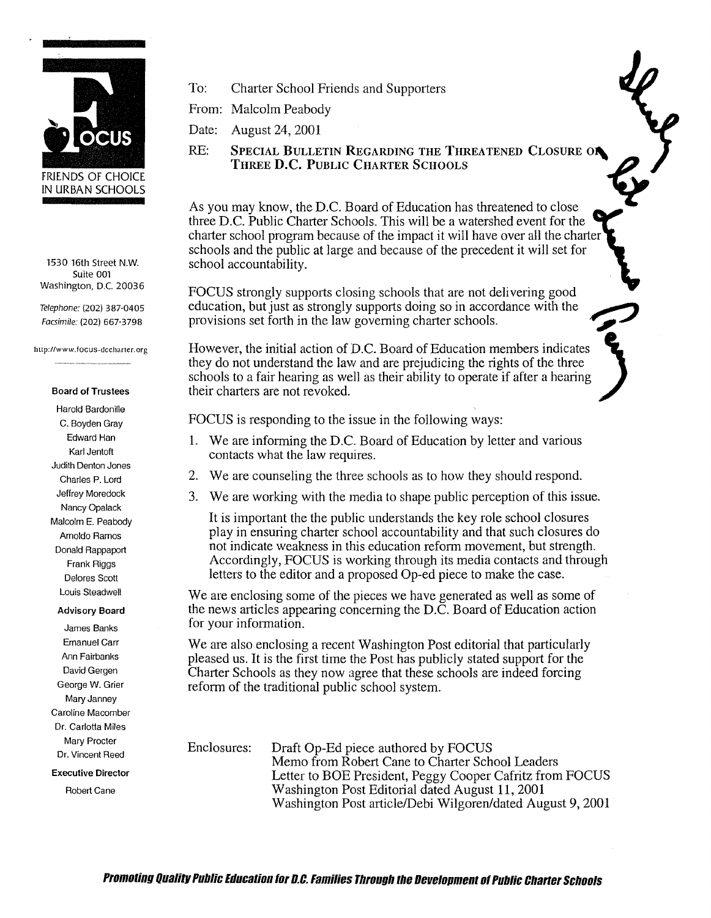

1530 16th Street **N.W.**  Suite 001 Washington, D.C. 20036

*Telephone:* (202) 387-0405 *Facsimile:* (202) 667-3798

http://www.focus-dccharter.org

## **Board of Trustees**

Harold Bardonille C. Boyden Gray Edward Han Karl Jentoft Judith Denton Jones Charles P. Lord Jeffrey Moredock Nancy Opalack Malcolm E. Peabody Arnoldo Ramos Donald Rappaport Frank Riggs Delores Scott Louis Steadwell

## **Advisory Board**

James Banks Emanuel Carr Ann Fairbanks David Gergen George **W.** Grier Mary Janney Caroline Macomber Dr. Carlotta Miles Mary Procter Dr. Vincent Reed

**Executive Director** 

Robert Cane

To: Charter School Friends and Supporters

From: Malcolm Peabody

Date: August 24, 2001

To: Charter School Friends and Supporters<br>
From: Malcolm Peabody<br>
Date: August 24, 2001<br>
RE: SPECIAL BULLETIN REGARDING THE THREATENED CLOSURE ON<br>
THE THREATER SCHOOLS **THREE D.C. PUBLIC CHARTER SCHOOLS** 

As you may know, the D.C. Board of Education has threatened to close three D.C. Public Charter Schools. This will be a watershed event for the charter school program because of the impact it will have over all the charter schools and the public at large and because of the precedent it will set for school accountability.

FOCUS strongly supports closing schools that are not delivering good education, but just as strongly supports doing so in accordance with the provisions set forth in the law governing charter schools.

However, the initial action of D.C. Board of Education members indicates they do not understand the law and are prejudicing the rights of the three schools to a fair hearing as well as their ability to operate if after a hearing their charters are not revoked.

FOCUS is responding to the issue in the following ways:

- 1. We are informing the D.C. Board of Education by letter and various contacts what the law requires.
- 2. We are counseling the three schools as to how they should respond.
- 3. We are working with the media to shape public perception of this issue.

It is important the the public understands the key role school closures play in ensuring charter school accountability and that such closures do not indicate weakness in this education reform movement, but strength. Accordingly, FOCUS is working through its media contacts and through letters to the editor and a proposed Op-ed piece to make the case.

We are enclosing some of the pieces we have generated as well as some of the news articles appearing concerning the D.C. Board of Education action for your information.

We are also enclosing a recent Washington Post editorial that particularly pleased us. It is the first time the Post has publicly stated support for the Charter Schools as they now agree that these schools are indeed forcing reform of the traditional public school system.

Enclosures: Draft Op-Ed piece authored by FOCUS Memo from Robert Cane to Charter School Leaders Letter to BOE President, Peggy Cooper Cafritz from FOCUS Washington Post Editorial dated August 11, 2001 Washington Post article/Debi Wilgoren/dated August 9, 2001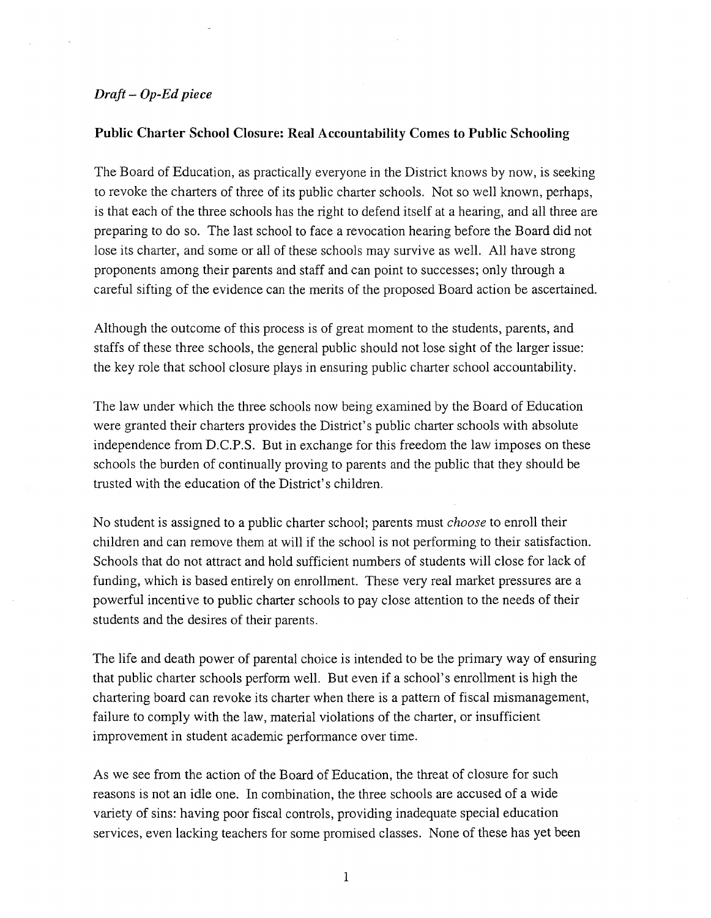## *Draft- Op-Ed piece*

## **Public Charter School Closure: Real Accountability Comes to Public Schooling**

The Board of Education, as practically everyone in the District knows by now, is seeking to revoke the charters of three of its public charter schools. Not so well known, perhaps, is that each of the three schools has the right to defend itself at a hearing, and all three are preparing to do so. The last school to face a revocation hearing before the Board did not lose its charter, and some or all of these schools may survive as well. All have strong proponents among their parents and staff and can point to successes; only through a careful sifting of the evidence can the merits of the proposed Board action be ascertained.

Although the outcome of this process is of great moment to the students, parents, and staffs of these three schools, the general public should not lose sight of the larger issue: the key role that school closure plays in ensuring public charter school accountability.

The law under which the three schools now being examined by the Board of Education were granted their charters provides the District's public charter schools with absolute independence from D.C.P.S. But in exchange for this freedom the law imposes on these schools the burden of continually proving to parents and the public that they should be trusted with the education of the District's children.

No student is assigned to a public charter school; parents must *choose* to enroll their children and can remove them at will if the school is not performing to their satisfaction. Schools that do not attract and hold sufficient numbers of students will close for lack of funding, which is based entirely on enrollment. These very real market pressures are a powerful incentive to public charter schools to pay close attention to the needs of their students and the desires of their parents.

The life and death power of parental choice is intended to be the primary way of ensuring that public charter schools perform well. But even if a school's enrollment is high the chartering board can revoke its charter when there is a pattern of fiscal mismanagement, failure *to* comply with the law, material violations of the charter, or insufficient improvement in student academic performance over time.

As we see from the action of the Board of Education, the threat of closure for such reasons is not an idle one. In combination, the three schools are accused of a wide variety of sins: having poor fiscal controls, providing inadequate special education services, even lacking teachers for some promised classes. None of these has yet been

1